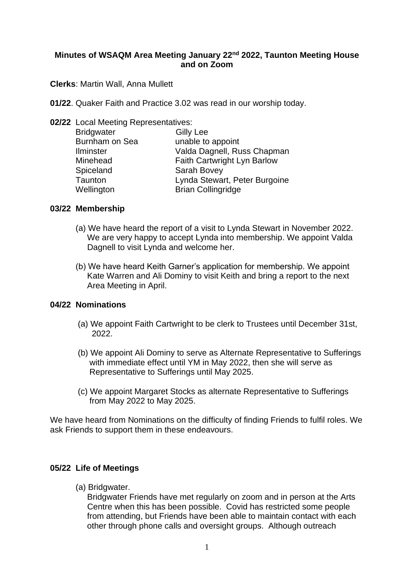# **Minutes of WSAQM Area Meeting January 22 nd 2022, Taunton Meeting House and on Zoom**

**Clerks**: Martin Wall, Anna Mullett

- **01/22**. Quaker Faith and Practice 3.02 was read in our worship today.
- **02/22** Local Meeting Representatives:

| <b>Bridgwater</b> | <b>Gilly Lee</b>              |
|-------------------|-------------------------------|
| Burnham on Sea    | unable to appoint             |
| <b>Ilminster</b>  | Valda Dagnell, Russ Chapman   |
| Minehead          | Faith Cartwright Lyn Barlow   |
| Spiceland         | Sarah Bovey                   |
| Taunton           | Lynda Stewart, Peter Burgoine |
| Wellington        | <b>Brian Collingridge</b>     |

# **03/22 Membership**

- (a) We have heard the report of a visit to Lynda Stewart in November 2022. We are very happy to accept Lynda into membership. We appoint Valda Dagnell to visit Lynda and welcome her.
- (b) We have heard Keith Garner's application for membership. We appoint Kate Warren and Ali Dominy to visit Keith and bring a report to the next Area Meeting in April.

# **04/22 Nominations**

- (a) We appoint Faith Cartwright to be clerk to Trustees until December 31st, 2022.
- (b) We appoint Ali Dominy to serve as Alternate Representative to Sufferings with immediate effect until YM in May 2022, then she will serve as Representative to Sufferings until May 2025.
- (c) We appoint Margaret Stocks as alternate Representative to Sufferings from May 2022 to May 2025.

We have heard from Nominations on the difficulty of finding Friends to fulfil roles. We ask Friends to support them in these endeavours.

# **05/22 Life of Meetings**

(a) Bridgwater.

 Bridgwater Friends have met regularly on zoom and in person at the Arts Centre when this has been possible. Covid has restricted some people from attending, but Friends have been able to maintain contact with each other through phone calls and oversight groups. Although outreach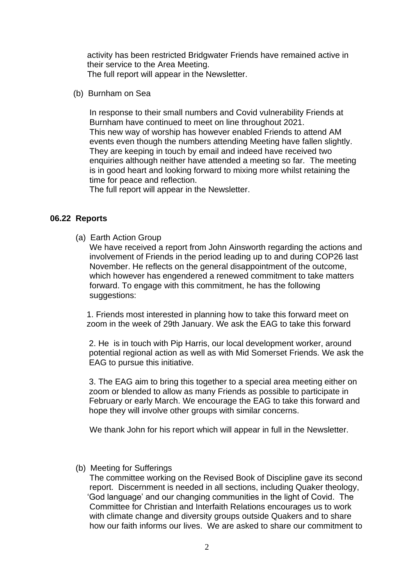activity has been restricted Bridgwater Friends have remained active in their service to the Area Meeting. The full report will appear in the Newsletter.

(b) Burnham on Sea

 In response to their small numbers and Covid vulnerability Friends at Burnham have continued to meet on line throughout 2021. This new way of worship has however enabled Friends to attend AM events even though the numbers attending Meeting have fallen slightly. They are keeping in touch by email and indeed have received two enquiries although neither have attended a meeting so far. The meeting is in good heart and looking forward to mixing more whilst retaining the time for peace and reflection.

The full report will appear in the Newsletter.

## **06.22 Reports**

(a) Earth Action Group

 We have received a report from John Ainsworth regarding the actions and involvement of Friends in the period leading up to and during COP26 last November. He reflects on the general disappointment of the outcome, which however has engendered a renewed commitment to take matters forward. To engage with this commitment, he has the following suggestions:

 1. Friends most interested in planning how to take this forward meet on zoom in the week of 29th January. We ask the EAG to take this forward

 2. He is in touch with Pip Harris, our local development worker, around potential regional action as well as with Mid Somerset Friends. We ask the EAG to pursue this initiative.

 3. The EAG aim to bring this together to a special area meeting either on zoom or blended to allow as many Friends as possible to participate in February or early March. We encourage the EAG to take this forward and hope they will involve other groups with similar concerns.

We thank John for his report which will appear in full in the Newsletter.

(b) Meeting for Sufferings

 The committee working on the Revised Book of Discipline gave its second report. Discernment is needed in all sections, including Quaker theology, 'God language' and our changing communities in the light of Covid. The Committee for Christian and Interfaith Relations encourages us to work with climate change and diversity groups outside Quakers and to share how our faith informs our lives. We are asked to share our commitment to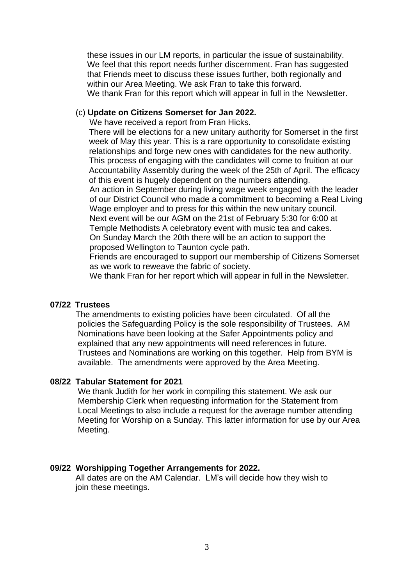these issues in our LM reports, in particular the issue of sustainability. We feel that this report needs further discernment. Fran has suggested that Friends meet to discuss these issues further, both regionally and within our Area Meeting. We ask Fran to take this forward. We thank Fran for this report which will appear in full in the Newsletter.

## (c) **Update on Citizens Somerset for Jan 2022.**

We have received a report from Fran Hicks.

 There will be elections for a new unitary authority for Somerset in the first week of May this year. This is a rare opportunity to consolidate existing relationships and forge new ones with candidates for the new authority. This process of engaging with the candidates will come to fruition at our Accountability Assembly during the week of the 25th of April. The efficacy of this event is hugely dependent on the numbers attending.

 An action in September during living wage week engaged with the leader of our District Council who made a commitment to becoming a Real Living Wage employer and to press for this within the new unitary council. Next event will be our AGM on the 21st of February 5:30 for 6:00 at Temple Methodists A celebratory event with music tea and cakes. On Sunday March the 20th there will be an action to support the proposed Wellington to Taunton cycle path.

 Friends are encouraged to support our membership of Citizens Somerset as we work to reweave the fabric of society.

We thank Fran for her report which will appear in full in the Newsletter.

#### **07/22 Trustees**

The amendments to existing policies have been circulated. Of all the policies the Safeguarding Policy is the sole responsibility of Trustees. AM Nominations have been looking at the Safer Appointments policy and explained that any new appointments will need references in future. Trustees and Nominations are working on this together. Help from BYM is available. The amendments were approved by the Area Meeting.

#### **08/22 Tabular Statement for 2021**

We thank Judith for her work in compiling this statement. We ask our Membership Clerk when requesting information for the Statement from Local Meetings to also include a request for the average number attending Meeting for Worship on a Sunday. This latter information for use by our Area Meeting.

#### **09/22 Worshipping Together Arrangements for 2022.**

 All dates are on the AM Calendar. LM's will decide how they wish to join these meetings.